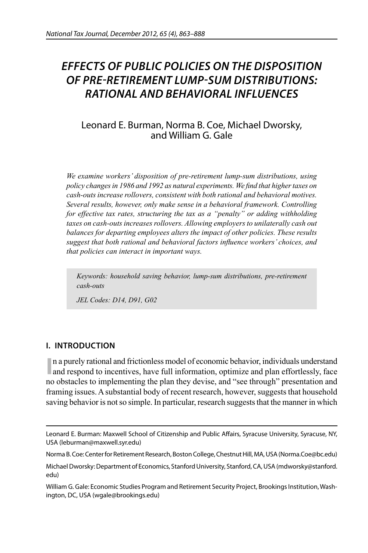# *EFFECTS OF PUBLIC POLICIES ON THE DISPOSITION OF PRE-RETIREMENT LUMP-SUM DISTRIBUTIONS: RATIONAL AND BEHAVIORAL INFLUENCES*

## Leonard E. Burman, Norma B. Coe, Michael Dworsky, and William G. Gale

*We examine workers' disposition of pre-retirement lump-sum distributions, using policy changes in 1986 and 1992 as natural experiments. We find that higher taxes on cash-outs increase rollovers, consistent with both rational and behavioral motives. Several results, however, only make sense in a behavioral framework. Controlling for effective tax rates, structuring the tax as a "penalty" or adding withholding taxes on cash-outs increases rollovers. Allowing employers to unilaterally cash out balances for departing employees alters the impact of other policies. These results*  suggest that both rational and behavioral factors influence workers' choices, and *that policies can interact in important ways.*

*Keywords: household saving behavior, lump-sum distributions, pre-retirement cash-outs*

*JEL Codes: D14, D91, G02*

## **I. INTRODUCTION**

In a purely rational and frictionless model of economic behavior, individuals understand and respond to incentives, have full information, optimize and plan effortlessly, face n a purely rational and frictionless model of economic behavior, individuals understand no obstacles to implementing the plan they devise, and "see through" presentation and framing issues. A substantial body of recent research, however, suggests that household saving behavior is not so simple. In particular, research suggests that the manner in which

Norma B. Coe: Center for Retirement Research, Boston College, Chestnut Hill, MA, USA (Norma.Coe@bc.edu)

Leonard E. Burman: Maxwell School of Citizenship and Public Affairs, Syracuse University, Syracuse, NY, USA (leburman@maxwell.syr.edu)

Michael Dworsky: Department of Economics, Stanford University, Stanford, CA, USA (mdworsky@stanford. edu)

William G. Gale: Economic Studies Program and Retirement Security Project, Brookings Institution, Washington, DC, USA (wgale@brookings.edu)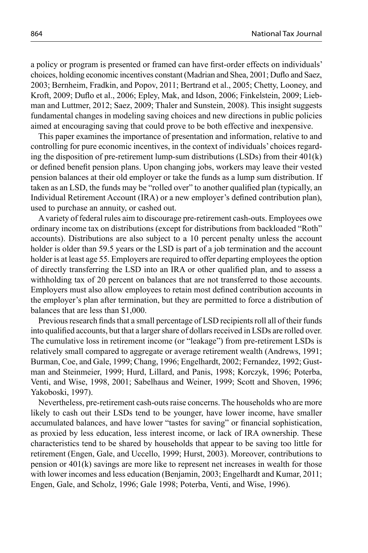a policy or program is presented or framed can have first-order effects on individuals' choices, holding economic incentives constant (Madrian and Shea, 2001; Duflo and Saez, 2003; Bernheim, Fradkin, and Popov, 2011; Bertrand et al., 2005; Chetty, Looney, and Kroft, 2009; Duflo et al., 2006; Epley, Mak, and Idson, 2006; Finkelstein, 2009; Liebman and Luttmer, 2012; Saez, 2009; Thaler and Sunstein, 2008). This insight suggests fundamental changes in modeling saving choices and new directions in public policies aimed at encouraging saving that could prove to be both effective and inexpensive.

This paper examines the importance of presentation and information, relative to and controlling for pure economic incentives, in the context of individuals' choices regarding the disposition of pre-retirement lump-sum distributions (LSDs) from their 401(k) or defined benefit pension plans. Upon changing jobs, workers may leave their vested pension balances at their old employer or take the funds as a lump sum distribution. If taken as an LSD, the funds may be "rolled over" to another qualified plan (typically, an Individual Retirement Account (IRA) or a new employer's defined contribution plan), used to purchase an annuity, or cashed out.

A variety of federal rules aim to discourage pre-retirement cash-outs. Employees owe ordinary income tax on distributions (except for distributions from backloaded "Roth" accounts). Distributions are also subject to a 10 percent penalty unless the account holder is older than 59.5 years or the LSD is part of a job termination and the account holder is at least age 55. Employers are required to offer departing employees the option of directly transferring the LSD into an IRA or other qualified plan, and to assess a withholding tax of 20 percent on balances that are not transferred to those accounts. Employers must also allow employees to retain most defined contribution accounts in the employer's plan after termination, but they are permitted to force a distribution of balances that are less than \$1,000.

Previous research finds that a small percentage of LSD recipients roll all of their funds into qualified accounts, but that a larger share of dollars received in LSDs are rolled over. The cumulative loss in retirement income (or "leakage") from pre-retirement LSDs is relatively small compared to aggregate or average retirement wealth (Andrews, 1991; Burman, Coe, and Gale, 1999; Chang, 1996; Engelhardt, 2002; Fernandez, 1992; Gustman and Steinmeier, 1999; Hurd, Lillard, and Panis, 1998; Korczyk, 1996; Poterba, Venti, and Wise, 1998, 2001; Sabelhaus and Weiner, 1999; Scott and Shoven, 1996; Yakoboski, 1997).

Nevertheless, pre-retirement cash-outs raise concerns. The households who are more likely to cash out their LSDs tend to be younger, have lower income, have smaller accumulated balances, and have lower "tastes for saving" or financial sophistication, as proxied by less education, less interest income, or lack of IRA ownership. These characteristics tend to be shared by households that appear to be saving too little for retirement (Engen, Gale, and Uccello, 1999; Hurst, 2003). Moreover, contributions to pension or 401(k) savings are more like to represent net increases in wealth for those with lower incomes and less education (Benjamin, 2003; Engelhardt and Kumar, 2011; Engen, Gale, and Scholz, 1996; Gale 1998; Poterba, Venti, and Wise, 1996).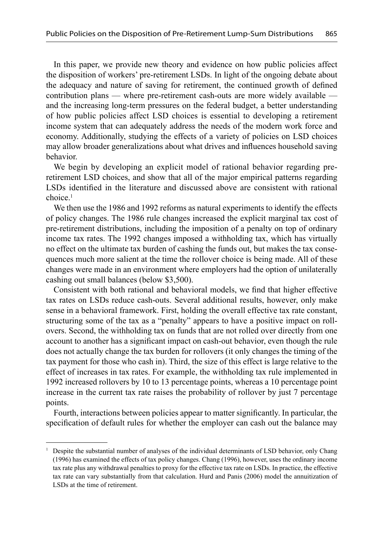In this paper, we provide new theory and evidence on how public policies affect the disposition of workers' pre-retirement LSDs. In light of the ongoing debate about the adequacy and nature of saving for retirement, the continued growth of defined contribution plans — where pre-retirement cash-outs are more widely available and the increasing long-term pressures on the federal budget, a better understanding of how public policies affect LSD choices is essential to developing a retirement income system that can adequately address the needs of the modern work force and economy. Additionally, studying the effects of a variety of policies on LSD choices may allow broader generalizations about what drives and influences household saving behavior.

We begin by developing an explicit model of rational behavior regarding preretirement LSD choices, and show that all of the major empirical patterns regarding LSDs identified in the literature and discussed above are consistent with rational  $choice<sup>1</sup>$ 

We then use the 1986 and 1992 reforms as natural experiments to identify the effects of policy changes. The 1986 rule changes increased the explicit marginal tax cost of pre-retirement distributions, including the imposition of a penalty on top of ordinary income tax rates. The 1992 changes imposed a withholding tax, which has virtually no effect on the ultimate tax burden of cashing the funds out, but makes the tax consequences much more salient at the time the rollover choice is being made. All of these changes were made in an environment where employers had the option of unilaterally cashing out small balances (below \$3,500).

Consistent with both rational and behavioral models, we find that higher effective tax rates on LSDs reduce cash-outs. Several additional results, however, only make sense in a behavioral framework. First, holding the overall effective tax rate constant, structuring some of the tax as a "penalty" appears to have a positive impact on rollovers. Second, the withholding tax on funds that are not rolled over directly from one account to another has a significant impact on cash-out behavior, even though the rule does not actually change the tax burden for rollovers (it only changes the timing of the tax payment for those who cash in). Third, the size of this effect is large relative to the effect of increases in tax rates. For example, the withholding tax rule implemented in 1992 increased rollovers by 10 to 13 percentage points, whereas a 10 percentage point increase in the current tax rate raises the probability of rollover by just 7 percentage points.

Fourth, interactions between policies appear to matter significantly. In particular, the specification of default rules for whether the employer can cash out the balance may

<sup>1</sup> Despite the substantial number of analyses of the individual determinants of LSD behavior, only Chang (1996) has examined the effects of tax policy changes. Chang (1996), however, uses the ordinary income tax rate plus any withdrawal penalties to proxy for the effective tax rate on LSDs. In practice, the effective tax rate can vary substantially from that calculation. Hurd and Panis (2006) model the annuitization of LSDs at the time of retirement.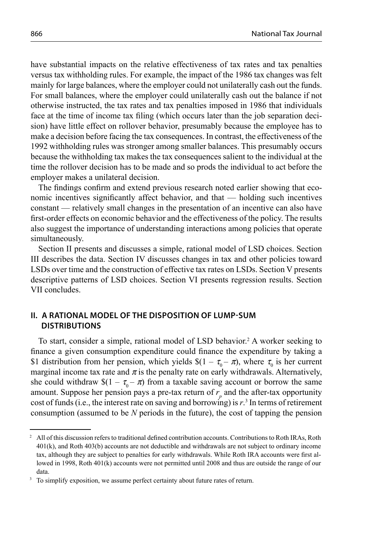have substantial impacts on the relative effectiveness of tax rates and tax penalties versus tax withholding rules. For example, the impact of the 1986 tax changes was felt mainly for large balances, where the employer could not unilaterally cash out the funds. For small balances, where the employer could unilaterally cash out the balance if not otherwise instructed, the tax rates and tax penalties imposed in 1986 that individuals face at the time of income tax filing (which occurs later than the job separation decision) have little effect on rollover behavior, presumably because the employee has to make a decision before facing the tax consequences. In contrast, the effectiveness of the 1992 withholding rules was stronger among smaller balances. This presumably occurs because the withholding tax makes the tax consequences salient to the individual at the time the rollover decision has to be made and so prods the individual to act before the employer makes a unilateral decision.

The findings confirm and extend previous research noted earlier showing that economic incentives significantly affect behavior, and that — holding such incentives constant — relatively small changes in the presentation of an incentive can also have first-order effects on economic behavior and the effectiveness of the policy. The results also suggest the importance of understanding interactions among policies that operate simultaneously.

Section II presents and discusses a simple, rational model of LSD choices. Section III describes the data. Section IV discusses changes in tax and other policies toward LSDs over time and the construction of effective tax rates on LSDs. Section V presents descriptive patterns of LSD choices. Section VI presents regression results. Section VII concludes.

## **II. A RATIONAL MODEL OF THE DISPOSITION OF LUMP-SUM DISTRIBUTIONS**

To start, consider a simple, rational model of LSD behavior.<sup>2</sup> A worker seeking to finance a given consumption expenditure could finance the expenditure by taking a \$1 distribution from her pension, which yields  $\$(1 - \tau_0 - \pi)$ , where  $\tau_0$  is her current marginal income tax rate and  $\pi$  is the penalty rate on early withdrawals. Alternatively, she could withdraw  $\frac{s(1 - \tau_0 - \pi)}{n}$  from a taxable saving account or borrow the same amount. Suppose her pension pays a pre-tax return of  $r_p$  and the after-tax opportunity cost of funds (i.e., the interest rate on saving and borrowing) is *r*. 3 In terms of retirement consumption (assumed to be *N* periods in the future), the cost of tapping the pension

<sup>&</sup>lt;sup>2</sup> All of this discussion refers to traditional defined contribution accounts. Contributions to Roth IRAs, Roth 401(k), and Roth 403(b) accounts are not deductible and withdrawals are not subject to ordinary income tax, although they are subject to penalties for early withdrawals. While Roth IRA accounts were first allowed in 1998, Roth 401(k) accounts were not permitted until 2008 and thus are outside the range of our  $\frac{\text{data}}{3}$  To si

To simplify exposition, we assume perfect certainty about future rates of return.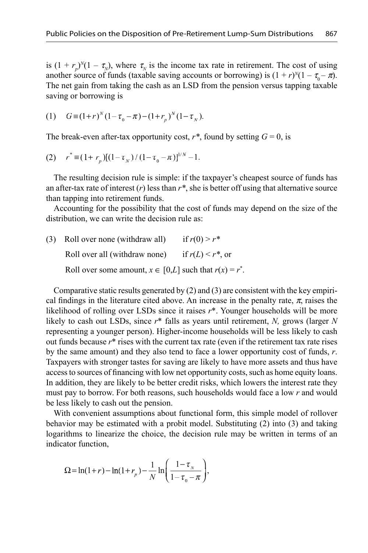is  $(1 + r_p)^N (1 - \tau_N)$ , where  $\tau_N$  is the income tax rate in retirement. The cost of using another source of funds (taxable saving accounts or borrowing) is  $(1 + r)^N(1 - \tau_0 - \pi)$ . The net gain from taking the cash as an LSD from the pension versus tapping taxable saving or borrowing is

(1) 
$$
G \equiv (1+r)^{N} (1-\tau_0 - \pi) - (1+r_p)^{N} (1-\tau_N).
$$

The break-even after-tax opportunity cost,  $r^*$ , found by setting  $G = 0$ , is

(2) 
$$
r^* \equiv (1 + r_p)[(1 - \tau_N)/(1 - \tau_0 - \pi)]^{1/N} - 1.
$$

The resulting decision rule is simple: if the taxpayer's cheapest source of funds has an after-tax rate of interest  $(r)$  less than  $r^*$ , she is better off using that alternative source than tapping into retirement funds.

Accounting for the possibility that the cost of funds may depend on the size of the distribution, we can write the decision rule as:

(3) Roll over none (withdraw all) if  $r(0) > r^*$ Roll over all (withdraw none) if  $r(L) < r^*$ , or Roll over some amount,  $x \in [0,L]$  such that  $r(x) = r^*$ .

Comparative static results generated by (2) and (3) are consistent with the key empirical findings in the literature cited above. An increase in the penalty rate,  $\pi$ , raises the likelihood of rolling over LSDs since it raises *r*\*. Younger households will be more likely to cash out LSDs, since *r*\* falls as years until retirement, *N,* grows (larger *N* representing a younger person). Higher-income households will be less likely to cash out funds because *r*\* rises with the current tax rate (even if the retirement tax rate rises by the same amount) and they also tend to face a lower opportunity cost of funds, *r*. Taxpayers with stronger tastes for saving are likely to have more assets and thus have access to sources of financing with low net opportunity costs, such as home equity loans. In addition, they are likely to be better credit risks, which lowers the interest rate they must pay to borrow. For both reasons, such households would face a low *r* and would be less likely to cash out the pension.

With convenient assumptions about functional form, this simple model of rollover behavior may be estimated with a probit model. Substituting (2) into (3) and taking logarithms to linearize the choice, the decision rule may be written in terms of an indicator function,

$$
\Omega = \ln(1+r) - \ln(1+r_p) - \frac{1}{N} \ln \left( \frac{1-\tau_{N}}{1-\tau_{0} - \pi} \right),
$$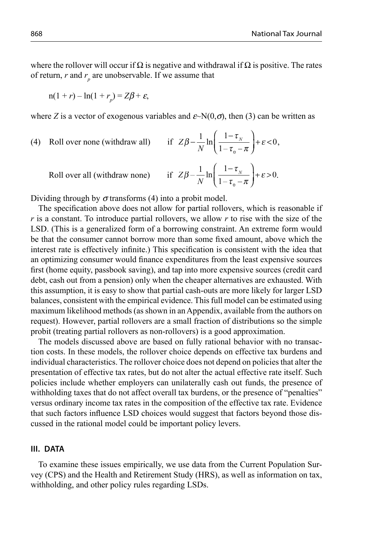where the rollover will occur if  $\Omega$  is negative and withdrawal if  $\Omega$  is positive. The rates of return,  $r$  and  $r_p$  are unobservable. If we assume that

$$
n(1 + r) - \ln(1 + r_p) = Z\beta + \varepsilon,
$$

where *Z* is a vector of exogenous variables and  $\varepsilon$ ~N(0, $\sigma$ ), then (3) can be written as

(4) Roll over none (withdraw all)  $-\frac{1}{N}\ln\left(\frac{1-\tau_{N}}{1-\tau_{0}-\pi}\right)+\varepsilon$ ⎛ ⎝ ⎜  $\lambda$  $Z\beta - \frac{1}{N}\ln\left(\frac{1-\tau_{N}}{1-\tau_{0}-\pi}\right) + \varepsilon <$  $\frac{1-\epsilon_{N}}{1-\tau_{N}-\pi}$  +  $\varepsilon$  < 0  $\overline{0}$ ,

Roll over all (withdraw none) if 
$$
Z\beta - \frac{1}{N} \ln \left( \frac{1 - \tau_N}{1 - \tau_0 - \pi} \right) + \varepsilon > 0
$$
.

Dividing through by  $\sigma$  transforms (4) into a probit model.

The specification above does not allow for partial rollovers, which is reasonable if *r* is a constant. To introduce partial rollovers, we allow *r* to rise with the size of the LSD. (This is a generalized form of a borrowing constraint. An extreme form would be that the consumer cannot borrow more than some fixed amount, above which the interest rate is effectively infinite.) This specification is consistent with the idea that an optimizing consumer would finance expenditures from the least expensive sources first (home equity, passbook saving), and tap into more expensive sources (credit card debt, cash out from a pension) only when the cheaper alternatives are exhausted. With this assumption, it is easy to show that partial cash-outs are more likely for larger LSD balances, consistent with the empirical evidence. This full model can be estimated using maximum likelihood methods (as shown in an Appendix, available from the authors on request). However, partial rollovers are a small fraction of distributions so the simple probit (treating partial rollovers as non-rollovers) is a good approximation.

The models discussed above are based on fully rational behavior with no transaction costs. In these models, the rollover choice depends on effective tax burdens and individual characteristics. The rollover choice does not depend on policies that alter the presentation of effective tax rates, but do not alter the actual effective rate itself. Such policies include whether employers can unilaterally cash out funds, the presence of withholding taxes that do not affect overall tax burdens, or the presence of "penalties" versus ordinary income tax rates in the composition of the effective tax rate. Evidence that such factors influence LSD choices would suggest that factors beyond those discussed in the rational model could be important policy levers.

## **III. DATA**

To examine these issues empirically, we use data from the Current Population Survey (CPS) and the Health and Retirement Study (HRS), as well as information on tax, withholding, and other policy rules regarding LSDs.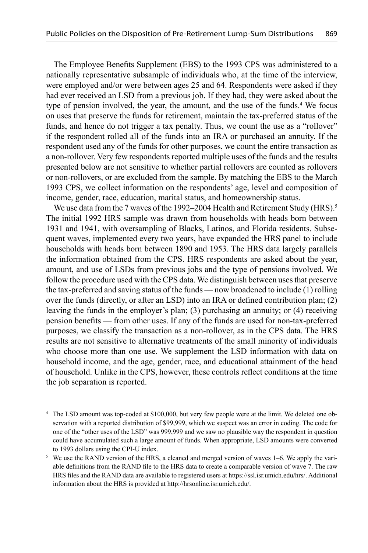The Employee Benefits Supplement (EBS) to the 1993 CPS was administered to a nationally representative subsample of individuals who, at the time of the interview, were employed and/or were between ages 25 and 64. Respondents were asked if they had ever received an LSD from a previous job. If they had, they were asked about the type of pension involved, the year, the amount, and the use of the funds.<sup>4</sup> We focus on uses that preserve the funds for retirement, maintain the tax-preferred status of the funds, and hence do not trigger a tax penalty. Thus, we count the use as a "rollover" if the respondent rolled all of the funds into an IRA or purchased an annuity. If the respondent used any of the funds for other purposes, we count the entire transaction as a non-rollover. Very few respondents reported multiple uses of the funds and the results presented below are not sensitive to whether partial rollovers are counted as rollovers or non-rollovers, or are excluded from the sample. By matching the EBS to the March 1993 CPS, we collect information on the respondents' age, level and composition of income, gender, race, education, marital status, and homeownership status.

We use data from the 7 waves of the 1992–2004 Health and Retirement Study (HRS).<sup>5</sup> The initial 1992 HRS sample was drawn from households with heads born between 1931 and 1941, with oversampling of Blacks, Latinos, and Florida residents. Subsequent waves, implemented every two years, have expanded the HRS panel to include households with heads born between 1890 and 1953. The HRS data largely parallels the information obtained from the CPS. HRS respondents are asked about the year, amount, and use of LSDs from previous jobs and the type of pensions involved. We follow the procedure used with the CPS data. We distinguish between uses that preserve the tax-preferred and saving status of the funds — now broadened to include (1) rolling over the funds (directly, or after an LSD) into an IRA or defined contribution plan; (2) leaving the funds in the employer's plan; (3) purchasing an annuity; or (4) receiving pension benefits — from other uses. If any of the funds are used for non-tax-preferred purposes, we classify the transaction as a non-rollover, as in the CPS data. The HRS results are not sensitive to alternative treatments of the small minority of individuals who choose more than one use. We supplement the LSD information with data on household income, and the age, gender, race, and educational attainment of the head of household. Unlike in the CPS, however, these controls refl ect conditions at the time the job separation is reported.

<sup>4</sup> The LSD amount was top-coded at \$100,000, but very few people were at the limit. We deleted one observation with a reported distribution of \$99,999, which we suspect was an error in coding. The code for one of the "other uses of the LSD" was 999,999 and we saw no plausible way the respondent in question could have accumulated such a large amount of funds. When appropriate, LSD amounts were converted to 1993 dollars using the CPI-U index.

<sup>&</sup>lt;sup>5</sup> We use the RAND version of the HRS, a cleaned and merged version of waves  $1-6$ . We apply the variable definitions from the RAND file to the HRS data to create a comparable version of wave 7. The raw HRS files and the RAND data are available to registered users at https://ssl.isr.umich.edu/hrs/. Additional information about the HRS is provided at http://hrsonline.isr.umich.edu/.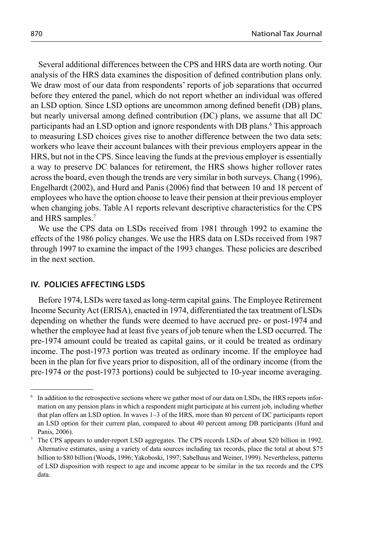Several additional differences between the CPS and HRS data are worth noting. Our analysis of the HRS data examines the disposition of defined contribution plans only. We draw most of our data from respondents' reports of job separations that occurred before they entered the panel, which do not report whether an individual was offered an LSD option. Since LSD options are uncommon among defined benefit (DB) plans, but nearly universal among defined contribution (DC) plans, we assume that all DC participants had an LSD option and ignore respondents with DB plans.<sup>6</sup> This approach to measuring LSD choices gives rise to another difference between the two data sets: workers who leave their account balances with their previous employers appear in the HRS, but not in the CPS. Since leaving the funds at the previous employer is essentially a way to preserve DC balances for retirement, the HRS shows higher rollover rates across the board, even though the trends are very similar in both surveys. Chang (1996), Engelhardt (2002), and Hurd and Panis (2006) find that between 10 and 18 percent of employees who have the option choose to leave their pension at their previous employer when changing jobs. Table A1 reports relevant descriptive characteristics for the CPS and HRS samples.7

We use the CPS data on LSDs received from 1981 through 1992 to examine the effects of the 1986 policy changes. We use the HRS data on LSDs received from 1987 through 1997 to examine the impact of the 1993 changes. These policies are described in the next section.

## **IV. POLICIES AFFECTING LSDS**

Before 1974, LSDs were taxed as long-term capital gains. The Employee Retirement Income Security Act (ERISA), enacted in 1974, differentiated the tax treatment of LSDs depending on whether the funds were deemed to have accrued pre- or post-1974 and whether the employee had at least five years of job tenure when the LSD occurred. The pre-1974 amount could be treated as capital gains, or it could be treated as ordinary income. The post-1973 portion was treated as ordinary income. If the employee had been in the plan for five years prior to disposition, all of the ordinary income (from the pre-1974 or the post-1973 portions) could be subjected to 10-year income averaging.

<sup>6</sup> In addition to the retrospective sections where we gather most of our data on LSDs, the HRS reports information on any pension plans in which a respondent might participate at his current job, including whether that plan offers an LSD option. In waves 1–3 of the HRS, more than 80 percent of DC participants report an LSD option for their current plan, compared to about 40 percent among DB participants (Hurd and Panis, 2006).

<sup>7</sup> The CPS appears to under-report LSD aggregates. The CPS records LSDs of about \$20 billion in 1992. Alternative estimates, using a variety of data sources including tax records, place the total at about \$75 billion to \$80 billion (Woods, 1996; Yakoboski, 1997; Sabelhaus and Weiner, 1999). Nevertheless, patterns of LSD disposition with respect to age and income appear to be similar in the tax records and the CPS data.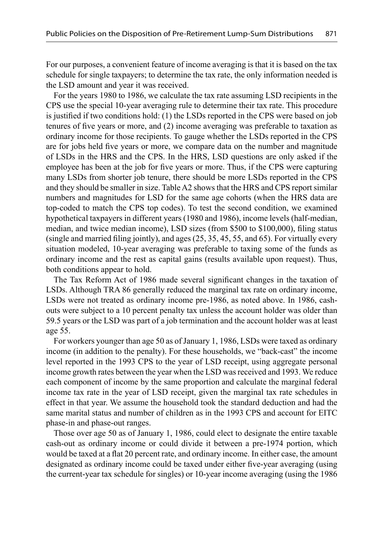For our purposes, a convenient feature of income averaging is that it is based on the tax schedule for single taxpayers; to determine the tax rate, the only information needed is the LSD amount and year it was received.

For the years 1980 to 1986, we calculate the tax rate assuming LSD recipients in the CPS use the special 10-year averaging rule to determine their tax rate. This procedure is justified if two conditions hold: (1) the LSDs reported in the CPS were based on job tenures of five years or more, and  $(2)$  income averaging was preferable to taxation as ordinary income for those recipients. To gauge whether the LSDs reported in the CPS are for jobs held five years or more, we compare data on the number and magnitude of LSDs in the HRS and the CPS. In the HRS, LSD questions are only asked if the employee has been at the job for five years or more. Thus, if the CPS were capturing many LSDs from shorter job tenure, there should be more LSDs reported in the CPS and they should be smaller in size. Table A2 shows that the HRS and CPS report similar numbers and magnitudes for LSD for the same age cohorts (when the HRS data are top-coded to match the CPS top codes). To test the second condition, we examined hypothetical taxpayers in different years (1980 and 1986), income levels (half-median, median, and twice median income), LSD sizes (from \$500 to \$100,000), filing status (single and married filing jointly), and ages  $(25, 35, 45, 55,$  and 65). For virtually every situation modeled, 10-year averaging was preferable to taxing some of the funds as ordinary income and the rest as capital gains (results available upon request). Thus, both conditions appear to hold.

The Tax Reform Act of 1986 made several significant changes in the taxation of LSDs. Although TRA 86 generally reduced the marginal tax rate on ordinary income, LSDs were not treated as ordinary income pre-1986, as noted above. In 1986, cashouts were subject to a 10 percent penalty tax unless the account holder was older than 59.5 years or the LSD was part of a job termination and the account holder was at least age 55.

For workers younger than age 50 as of January 1, 1986, LSDs were taxed as ordinary income (in addition to the penalty). For these households, we "back-cast" the income level reported in the 1993 CPS to the year of LSD receipt, using aggregate personal income growth rates between the year when the LSD was received and 1993. We reduce each component of income by the same proportion and calculate the marginal federal income tax rate in the year of LSD receipt, given the marginal tax rate schedules in effect in that year. We assume the household took the standard deduction and had the same marital status and number of children as in the 1993 CPS and account for EITC phase-in and phase-out ranges.

Those over age 50 as of January 1, 1986, could elect to designate the entire taxable cash-out as ordinary income or could divide it between a pre-1974 portion, which would be taxed at a flat 20 percent rate, and ordinary income. In either case, the amount designated as ordinary income could be taxed under either five-year averaging (using the current-year tax schedule for singles) or 10-year income averaging (using the 1986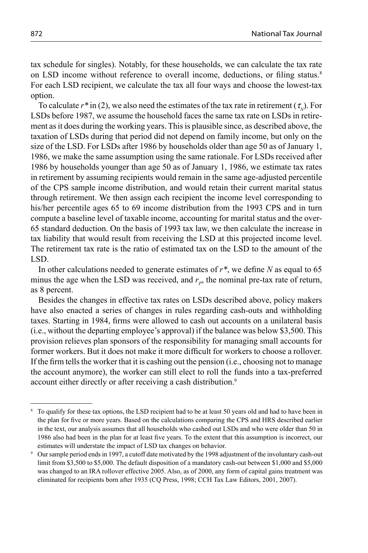tax schedule for singles). Notably, for these households, we can calculate the tax rate on LSD income without reference to overall income, deductions, or filing status.<sup>8</sup> For each LSD recipient, we calculate the tax all four ways and choose the lowest-tax option.

To calculate  $r^*$  in (2), we also need the estimates of the tax rate in retirement ( $\tau_{N}$ ). For LSDs before 1987, we assume the household faces the same tax rate on LSDs in retirement as it does during the working years. This is plausible since, as described above, the taxation of LSDs during that period did not depend on family income, but only on the size of the LSD. For LSDs after 1986 by households older than age 50 as of January 1, 1986, we make the same assumption using the same rationale. For LSDs received after 1986 by households younger than age 50 as of January 1, 1986, we estimate tax rates in retirement by assuming recipients would remain in the same age-adjusted percentile of the CPS sample income distribution, and would retain their current marital status through retirement. We then assign each recipient the income level corresponding to his/her percentile ages 65 to 69 income distribution from the 1993 CPS and in turn compute a baseline level of taxable income, accounting for marital status and the over-65 standard deduction. On the basis of 1993 tax law, we then calculate the increase in tax liability that would result from receiving the LSD at this projected income level. The retirement tax rate is the ratio of estimated tax on the LSD to the amount of the LSD.

In other calculations needed to generate estimates of  $r^*$ , we define N as equal to 65 minus the age when the LSD was received, and  $r_p$ , the nominal pre-tax rate of return, as 8 percent.

Besides the changes in effective tax rates on LSDs described above, policy makers have also enacted a series of changes in rules regarding cash-outs and withholding taxes. Starting in 1984, firms were allowed to cash out accounts on a unilateral basis (i.e., without the departing employee's approval) if the balance was below \$3,500. This provision relieves plan sponsors of the responsibility for managing small accounts for former workers. But it does not make it more difficult for workers to choose a rollover. If the firm tells the worker that it is cashing out the pension (i.e., choosing not to manage the account anymore), the worker can still elect to roll the funds into a tax-preferred account either directly or after receiving a cash distribution.<sup>9</sup>

<sup>8</sup> To qualify for these tax options, the LSD recipient had to be at least 50 years old and had to have been in the plan for five or more years. Based on the calculations comparing the CPS and HRS described earlier in the text, our analysis assumes that all households who cashed out LSDs and who were older than 50 in 1986 also had been in the plan for at least five years. To the extent that this assumption is incorrect, our estimates will understate the impact of LSD tax changes on behavior.

<sup>9</sup> Our sample period ends in 1997, a cutoff date motivated by the 1998 adjustment of the involuntary cash-out limit from \$3,500 to \$5,000. The default disposition of a mandatory cash-out between \$1,000 and \$5,000 was changed to an IRA rollover effective 2005. Also, as of 2000, any form of capital gains treatment was eliminated for recipients born after 1935 (CQ Press, 1998; CCH Tax Law Editors, 2001, 2007).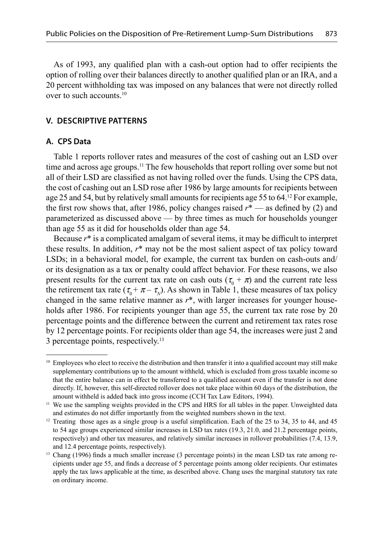As of 1993, any qualified plan with a cash-out option had to offer recipients the option of rolling over their balances directly to another qualified plan or an IRA, and a 20 percent withholding tax was imposed on any balances that were not directly rolled over to such accounts.10

## **V. DESCRIPTIVE PATTERNS**

### **A. CPS Data**

Table 1 reports rollover rates and measures of the cost of cashing out an LSD over time and across age groups.<sup>11</sup> The few households that report rolling over some but not all of their LSD are classified as not having rolled over the funds. Using the CPS data, the cost of cashing out an LSD rose after 1986 by large amounts for recipients between age 25 and 54, but by relatively small amounts for recipients age 55 to 64.12 For example, the first row shows that, after 1986, policy changes raised  $r^*$  — as defined by (2) and parameterized as discussed above — by three times as much for households younger than age 55 as it did for households older than age 54.

Because  $r^*$  is a complicated amalgam of several items, it may be difficult to interpret these results. In addition, *r*\* may not be the most salient aspect of tax policy toward LSDs; in a behavioral model, for example, the current tax burden on cash-outs and/ or its designation as a tax or penalty could affect behavior. For these reasons, we also present results for the current tax rate on cash outs ( $\tau_0 + \pi$ ) and the current rate less the retirement tax rate  $(\tau_0 + \pi - \tau_N)$ . As shown in Table 1, these measures of tax policy changed in the same relative manner as *r*\*, with larger increases for younger households after 1986. For recipients younger than age 55, the current tax rate rose by 20 percentage points and the difference between the current and retirement tax rates rose by 12 percentage points. For recipients older than age 54, the increases were just 2 and 3 percentage points, respectively.13

 $10$  Employees who elect to receive the distribution and then transfer it into a qualified account may still make supplementary contributions up to the amount withheld, which is excluded from gross taxable income so that the entire balance can in effect be transferred to a qualified account even if the transfer is not done directly. If, however, this self-directed rollover does not take place within 60 days of the distribution, the amount withheld is added back into gross income (CCH Tax Law Editors, 1994).<br><sup>11</sup> We use the sampling weights provided in the CPS and HRS for all tables in the paper. Unweighted data

and estimates do not differ importantly from the weighted numbers shown in the text.

<sup>&</sup>lt;sup>12</sup> Treating those ages as a single group is a useful simplification. Each of the 25 to 34, 35 to 44, and 45 to 54 age groups experienced similar increases in LSD tax rates (19.3, 21.0, and 21.2 percentage points, respectively) and other tax measures, and relatively similar increases in rollover probabilities (7.4, 13.9, and 12.4 percentage points, respectively).<br><sup>13</sup> Chang (1996) finds a much smaller increase (3 percentage points) in the mean LSD tax rate among re-

cipients under age 55, and finds a decrease of 5 percentage points among older recipients. Our estimates apply the tax laws applicable at the time, as described above. Chang uses the marginal statutory tax rate on ordinary income.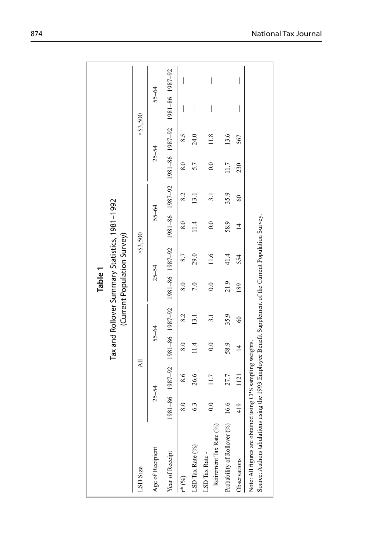|                                                                                                                                                                        |                 |               |                  |          | Table 1          | Tax and Rollover Summary Statistics, 1981-1992                                                       |                  |                   |               |        |                          |                                |
|------------------------------------------------------------------------------------------------------------------------------------------------------------------------|-----------------|---------------|------------------|----------|------------------|------------------------------------------------------------------------------------------------------|------------------|-------------------|---------------|--------|--------------------------|--------------------------------|
|                                                                                                                                                                        |                 |               |                  |          |                  | (Current Population Survey)                                                                          |                  |                   |               |        |                          |                                |
| LSD Size                                                                                                                                                               |                 | ₹             |                  |          |                  | > 53,500                                                                                             |                  |                   |               | 83,500 |                          |                                |
| Age of Recipient                                                                                                                                                       |                 | $25 - 54$     | $55 - 64$        |          |                  | $25 - 54$                                                                                            | $55 - 64$        |                   | $25 - 54$     |        | $55 - 64$                |                                |
| Year of Receipt                                                                                                                                                        |                 |               |                  |          |                  | 92-1981 1981-1986 1981-1986 1981-1981 1981-1981 1981-1981 1982-001 1982-1981 1982-1984 1982-1986 198 |                  |                   |               |        |                          |                                |
| $r^*(\%)$                                                                                                                                                              | $\frac{8.0}{8}$ | $\frac{6}{8}$ | $\overline{8.0}$ | 8.2      | $\frac{8.0}{5}$  | 8.7                                                                                                  | 8.0              | 8.2               | $\frac{8}{3}$ | 8.5    |                          |                                |
| LSD Tax Rate (%)                                                                                                                                                       | 6.3             | 26.6          | 1.4              | 13.1     | 7.0              | 29.0                                                                                                 | 11.4             | $\overline{13.1}$ | 5.7           | 24.0   | I                        |                                |
| Retirement Tax Rate (%)<br>LSD Tax Rate -                                                                                                                              | $\frac{0}{2}$   | 117           | $\overline{0}$   |          | $\overline{0}$ . | 11.6                                                                                                 | $\overline{0.0}$ |                   | $_{0.0}$      | 11.8   | I                        | $\begin{array}{c} \end{array}$ |
| Probability of Rollover (%) 16.6                                                                                                                                       |                 | 27.7          | 58.9             | 35.9     | 21.9             | 41.4                                                                                                 | 58.9             | 35.9              | 11.7          | 13.6   | $\overline{\phantom{a}}$ | $\overline{\phantom{a}}$       |
| Observations                                                                                                                                                           | 419             | 1121          | $\overline{4}$   | $\infty$ | 189              | 554                                                                                                  | $\vec{r}$        | $\degree$         | 230           | 567    | I                        | I                              |
| Source: Authors tabulations using the 1993 Employee Benefit Supplement of the Current Population Survey.<br>Note: All figures are obtained using CPS sampling weights. |                 |               |                  |          |                  |                                                                                                      |                  |                   |               |        |                          |                                |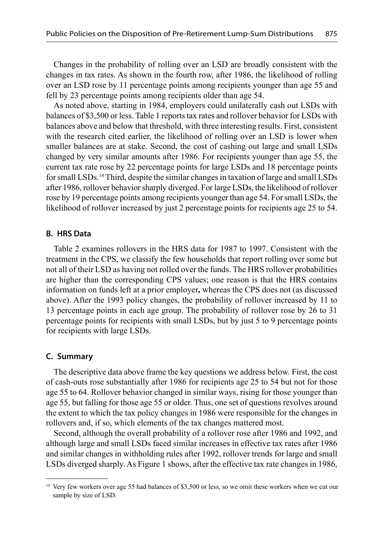Changes in the probability of rolling over an LSD are broadly consistent with the changes in tax rates. As shown in the fourth row, after 1986, the likelihood of rolling over an LSD rose by 11 percentage points among recipients younger than age 55 and fell by 23 percentage points among recipients older than age 54.

As noted above, starting in 1984, employers could unilaterally cash out LSDs with balances of \$3,500 or less. Table 1 reports tax rates and rollover behavior for LSDs with balances above and below that threshold, with three interesting results. First, consistent with the research cited earlier, the likelihood of rolling over an LSD is lower when smaller balances are at stake. Second, the cost of cashing out large and small LSDs changed by very similar amounts after 1986. For recipients younger than age 55, the current tax rate rose by 22 percentage points for large LSDs and 18 percentage points for small LSDs.14 Third, despite the similar changes in taxation of large and small LSDs after 1986, rollover behavior sharply diverged. For large LSDs, the likelihood of rollover rose by 19 percentage points among recipients younger than age 54. For small LSDs, the likelihood of rollover increased by just 2 percentage points for recipients age 25 to 54.

#### **B. HRS Data**

Table 2 examines rollovers in the HRS data for 1987 to 1997. Consistent with the treatment in the CPS, we classify the few households that report rolling over some but not all of their LSD as having not rolled over the funds. The HRS rollover probabilities are higher than the corresponding CPS values; one reason is that the HRS contains information on funds left at a prior employer**,** whereas the CPS does not (as discussed above). After the 1993 policy changes, the probability of rollover increased by 11 to 13 percentage points in each age group. The probability of rollover rose by 26 to 31 percentage points for recipients with small LSDs, but by just 5 to 9 percentage points for recipients with large LSDs.

#### **C. Summary**

The descriptive data above frame the key questions we address below. First, the cost of cash-outs rose substantially after 1986 for recipients age 25 to 54 but not for those age 55 to 64. Rollover behavior changed in similar ways, rising for those younger than age 55, but falling for those age 55 or older. Thus, one set of questions revolves around the extent to which the tax policy changes in 1986 were responsible for the changes in rollovers and, if so, which elements of the tax changes mattered most.

Second, although the overall probability of a rollover rose after 1986 and 1992, and although large and small LSDs faced similar increases in effective tax rates after 1986 and similar changes in withholding rules after 1992, rollover trends for large and small LSDs diverged sharply. As Figure 1 shows, after the effective tax rate changes in 1986,

<sup>&</sup>lt;sup>14</sup> Very few workers over age 55 had balances of \$3,500 or less, so we omit these workers when we cut our sample by size of LSD.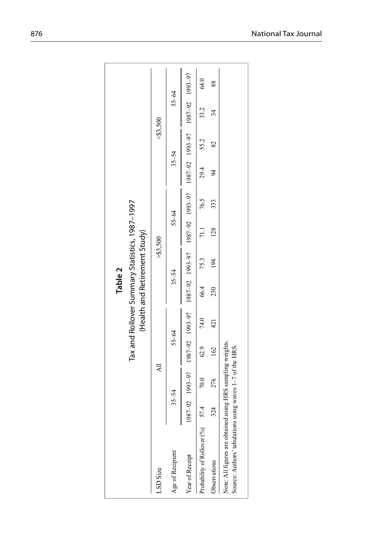|                                                                                                                        |     |                                                                                                               |           |      | Table 2 |                                                                                 |                 |           |           |             |       |      |
|------------------------------------------------------------------------------------------------------------------------|-----|---------------------------------------------------------------------------------------------------------------|-----------|------|---------|---------------------------------------------------------------------------------|-----------------|-----------|-----------|-------------|-------|------|
|                                                                                                                        |     |                                                                                                               |           |      |         | Tax and Rollover Summary Statistics, 1987-1997<br>(Health and Retirement Study) |                 |           |           |             |       |      |
| LSD Size                                                                                                               |     | ₹                                                                                                             |           |      |         |                                                                                 | > 83,500        |           |           | $<$ \$3,500 |       |      |
| Age of Recipient                                                                                                       |     | $35 - 54$                                                                                                     | $55 - 64$ |      |         | $35 - 54$                                                                       |                 | $55 - 64$ | $35 - 54$ |             | 55-64 |      |
| Year of Receipt                                                                                                        |     | 167-561 167-2011 167-2021 167-2021 167-2021 167-2021 167-2021 167-2021 167-2021 167-2021 167-2021 167-2021 16 |           |      |         |                                                                                 |                 |           |           |             |       |      |
| Probability of Rollover (%) 57.4                                                                                       |     | 70.0                                                                                                          | 62.9      | 74.0 | 66.4    | 75.3                                                                            | $\overline{11}$ | 76.5      | 29.4      | 55.2        | 33.2  | 64.0 |
| Observations                                                                                                           | 324 | 276                                                                                                           | 162       | 421  | 230     | 194                                                                             | 128             | 333       | 94        | 82          | र्ज   | 88   |
| Note: All figures are obtained using HRS sampling weights.<br>Source: Authors' tabulations using waves 1-7 of the HRS. |     |                                                                                                               |           |      |         |                                                                                 |                 |           |           |             |       |      |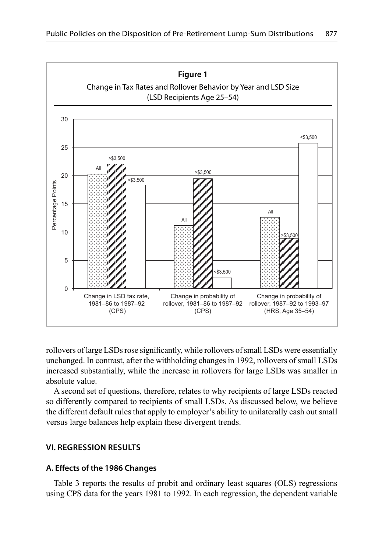

rollovers of large LSDs rose significantly, while rollovers of small LSDs were essentially unchanged. In contrast, after the withholding changes in 1992, rollovers of small LSDs increased substantially, while the increase in rollovers for large LSDs was smaller in absolute value.

A second set of questions, therefore, relates to why recipients of large LSDs reacted so differently compared to recipients of small LSDs. As discussed below, we believe the different default rules that apply to employer's ability to unilaterally cash out small versus large balances help explain these divergent trends.

## **VI. REGRESSION RESULTS**

### **A. Eff ects of the 1986 Changes**

Table 3 reports the results of probit and ordinary least squares (OLS) regressions using CPS data for the years 1981 to 1992. In each regression, the dependent variable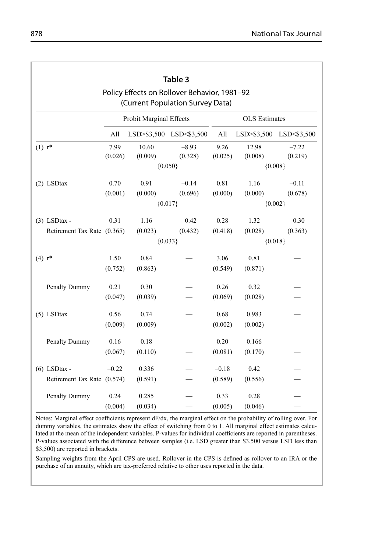|                             |                 | Table 3                 |                                                                                  |                 |                      |                         |  |  |  |  |  |
|-----------------------------|-----------------|-------------------------|----------------------------------------------------------------------------------|-----------------|----------------------|-------------------------|--|--|--|--|--|
|                             |                 |                         | Policy Effects on Rollover Behavior, 1981-92<br>(Current Population Survey Data) |                 |                      |                         |  |  |  |  |  |
|                             |                 | Probit Marginal Effects |                                                                                  |                 | <b>OLS</b> Estimates |                         |  |  |  |  |  |
|                             | All             |                         | LSD>\$3,500 LSD<\$3,500                                                          | All             |                      | LSD>\$3,500 LSD<\$3,500 |  |  |  |  |  |
| $(1) r^*$                   | 7.99<br>(0.026) | 10.60<br>(0.009)        | $-8.93$<br>(0.328)                                                               | 9.26<br>(0.025) | 12.98<br>(0.008)     | $-7.22$<br>(0.219)      |  |  |  |  |  |
|                             |                 |                         | ${0.050}$                                                                        |                 | ${0.008}$            |                         |  |  |  |  |  |
| (2) LSDtax                  | 0.70            | 0.91                    | $-0.14$                                                                          | 0.81            | 1.16                 | $-0.11$                 |  |  |  |  |  |
|                             | (0.001)         | (0.000)                 | (0.696)                                                                          | (0.000)         | (0.000)              | (0.678)                 |  |  |  |  |  |
|                             |                 |                         | ${0.017}$                                                                        |                 | ${0.002}$            |                         |  |  |  |  |  |
| $(3)$ LSDtax -              | 0.31            | 1.16                    | $-0.42$                                                                          | 0.28            | 1.32                 | $-0.30$                 |  |  |  |  |  |
| Retirement Tax Rate (0.365) |                 | (0.023)                 | (0.432)                                                                          | (0.418)         | (0.028)              | (0.363)                 |  |  |  |  |  |
|                             |                 |                         | ${0.033}$                                                                        |                 |                      | ${0.018}$               |  |  |  |  |  |
| $(4) r^*$                   | 1.50            | 0.84                    |                                                                                  | 3.06            | 0.81                 |                         |  |  |  |  |  |
|                             | (0.752)         | (0.863)                 |                                                                                  | (0.549)         | (0.871)              |                         |  |  |  |  |  |
| Penalty Dummy               | 0.21            | 0.30                    |                                                                                  | 0.26            | 0.32                 |                         |  |  |  |  |  |
|                             | (0.047)         | (0.039)                 |                                                                                  | (0.069)         | (0.028)              |                         |  |  |  |  |  |
| (5) LSDtax                  | 0.56            | 0.74                    |                                                                                  | 0.68            | 0.983                |                         |  |  |  |  |  |
|                             | (0.009)         | (0.009)                 |                                                                                  | (0.002)         | (0.002)              |                         |  |  |  |  |  |
| Penalty Dummy               | 0.16            | 0.18                    |                                                                                  | 0.20            | 0.166                |                         |  |  |  |  |  |
|                             | (0.067)         | (0.110)                 |                                                                                  | (0.081)         | (0.170)              |                         |  |  |  |  |  |
| $(6)$ LSDtax -              | $-0.22$         | 0.336                   |                                                                                  | $-0.18$         | 0.42                 |                         |  |  |  |  |  |
| Retirement Tax Rate (0.574) |                 | (0.591)                 |                                                                                  | (0.589)         | (0.556)              |                         |  |  |  |  |  |
| Penalty Dummy               | 0.24            | 0.285                   |                                                                                  | 0.33            | 0.28                 |                         |  |  |  |  |  |
|                             | (0.004)         | (0.034)                 |                                                                                  | (0.005)         | (0.046)              |                         |  |  |  |  |  |

Notes: Marginal effect coefficients represent  $dF/dx$ , the marginal effect on the probability of rolling over. For dummy variables, the estimates show the effect of switching from 0 to 1. All marginal effect estimates calculated at the mean of the independent variables. P-values for individual coefficients are reported in parentheses. P-values associated with the difference between samples (i.e. LSD greater than \$3,500 versus LSD less than \$3,500) are reported in brackets.

Sampling weights from the April CPS are used. Rollover in the CPS is defined as rollover to an IRA or the purchase of an annuity, which are tax-preferred relative to other uses reported in the data.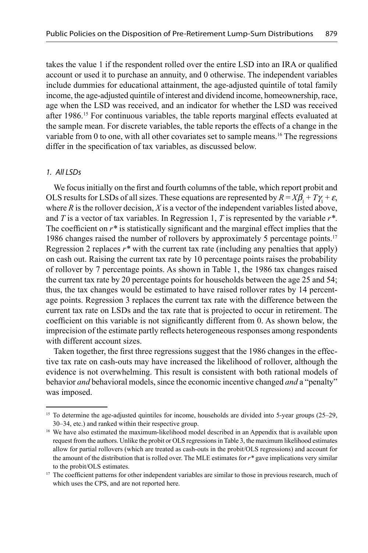takes the value 1 if the respondent rolled over the entire LSD into an IRA or qualified account or used it to purchase an annuity, and 0 otherwise. The independent variables include dummies for educational attainment, the age-adjusted quintile of total family income, the age-adjusted quintile of interest and dividend income, homeownership, race, age when the LSD was received, and an indicator for whether the LSD was received after 1986.15 For continuous variables, the table reports marginal effects evaluated at the sample mean. For discrete variables, the table reports the effects of a change in the variable from 0 to one, with all other covariates set to sample means.<sup>16</sup> The regressions differ in the specification of tax variables, as discussed below.

#### 1. All LSDs

We focus initially on the first and fourth columns of the table, which report probit and OLS results for LSDs of all sizes. These equations are represented by  $R = X\beta_1 + T\gamma_1 + \varepsilon$ , where *R* is the rollover decision, *X* is a vector of the independent variables listed above, and *T* is a vector of tax variables. In Regression 1, *T* is represented by the variable *r\**. The coefficient on  $r^*$  is statistically significant and the marginal effect implies that the 1986 changes raised the number of rollovers by approximately 5 percentage points.17 Regression 2 replaces  $r^*$  with the current tax rate (including any penalties that apply) on cash out. Raising the current tax rate by 10 percentage points raises the probability of rollover by 7 percentage points. As shown in Table 1, the 1986 tax changes raised the current tax rate by 20 percentage points for households between the age 25 and 54; thus, the tax changes would be estimated to have raised rollover rates by 14 percentage points. Regression 3 replaces the current tax rate with the difference between the current tax rate on LSDs and the tax rate that is projected to occur in retirement. The coefficient on this variable is not significantly different from 0. As shown below, the imprecision of the estimate partly reflects heterogeneous responses among respondents with different account sizes.

Taken together, the first three regressions suggest that the 1986 changes in the effective tax rate on cash-outs may have increased the likelihood of rollover, although the evidence is not overwhelming. This result is consistent with both rational models of behavior *and* behavioral models, since the economic incentive changed *and* a "penalty" was imposed.

<sup>&</sup>lt;sup>15</sup> To determine the age-adjusted quintiles for income, households are divided into 5-year groups (25–29, 30–34, etc.) and ranked within their respective group.

<sup>&</sup>lt;sup>16</sup> We have also estimated the maximum-likelihood model described in an Appendix that is available upon request from the authors. Unlike the probit or OLS regressions in Table 3, the maximum likelihood estimates allow for partial rollovers (which are treated as cash-outs in the probit/OLS regressions) and account for the amount of the distribution that is rolled over. The MLE estimates for *r\** gave implications very similar to the probit/OLS estimates.

<sup>&</sup>lt;sup>17</sup> The coefficient patterns for other independent variables are similar to those in previous research, much of which uses the CPS, and are not reported here.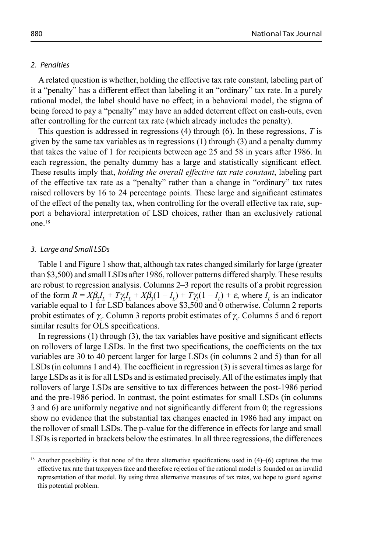#### 2. Penalties

A related question is whether, holding the effective tax rate constant, labeling part of it a "penalty" has a different effect than labeling it an "ordinary" tax rate. In a purely rational model, the label should have no effect; in a behavioral model, the stigma of being forced to pay a "penalty" may have an added deterrent effect on cash-outs, even after controlling for the current tax rate (which already includes the penalty).

This question is addressed in regressions (4) through (6). In these regressions, *T* is given by the same tax variables as in regressions (1) through (3) and a penalty dummy that takes the value of 1 for recipients between age 25 and 58 in years after 1986. In each regression, the penalty dummy has a large and statistically significant effect. These results imply that, *holding the overall effective tax rate constant*, labeling part of the effective tax rate as a "penalty" rather than a change in "ordinary" tax rates raised rollovers by 16 to 24 percentage points. These large and significant estimates of the effect of the penalty tax, when controlling for the overall effective tax rate, support a behavioral interpretation of LSD choices, rather than an exclusively rational one.18

#### 3. Large and Small LSDs

Table 1 and Figure 1 show that, although tax rates changed similarly for large (greater than \$3,500) and small LSDs after 1986, rollover patterns differed sharply. These results are robust to regression analysis. Columns 2–3 report the results of a probit regression of the form  $R = X\beta_2 I_L + T\gamma_2 I_L + X\beta_3 (1 - I_L) + T\gamma_3 (1 - I_L) + \varepsilon$ , where  $I_L$  is an indicator variable equal to 1 for LSD balances above \$3,500 and 0 otherwise. Column 2 reports probit estimates of  $\gamma_2$ . Column 3 reports probit estimates of  $\gamma_3$ . Columns 5 and 6 report similar results for OLS specifications.

In regressions  $(1)$  through  $(3)$ , the tax variables have positive and significant effects on rollovers of large LSDs. In the first two specifications, the coefficients on the tax variables are 30 to 40 percent larger for large LSDs (in columns 2 and 5) than for all LSDs (in columns 1 and 4). The coefficient in regression  $(3)$  is several times as large for large LSDs as it is for all LSDs and is estimated precisely. All of the estimates imply that rollovers of large LSDs are sensitive to tax differences between the post-1986 period and the pre-1986 period. In contrast, the point estimates for small LSDs (in columns  $3$  and  $6$ ) are uniformly negative and not significantly different from  $0$ ; the regressions show no evidence that the substantial tax changes enacted in 1986 had any impact on the rollover of small LSDs. The p-value for the difference in effects for large and small LSDs is reported in brackets below the estimates. In all three regressions, the differences

 $18$  Another possibility is that none of the three alternative specifications used in  $(4)$ – $(6)$  captures the true effective tax rate that taxpayers face and therefore rejection of the rational model is founded on an invalid representation of that model. By using three alternative measures of tax rates, we hope to guard against this potential problem.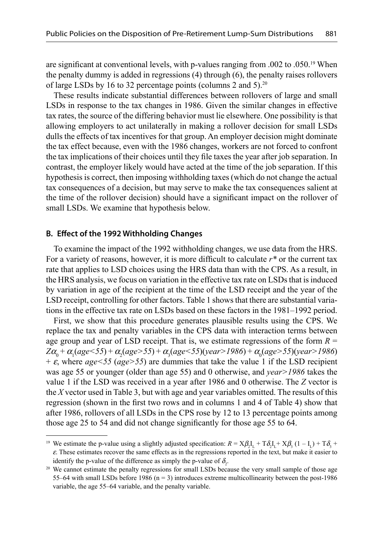are significant at conventional levels, with p-values ranging from .002 to .050.<sup>19</sup> When the penalty dummy is added in regressions (4) through (6), the penalty raises rollovers of large LSDs by 16 to 32 percentage points (columns 2 and 5).20

These results indicate substantial differences between rollovers of large and small LSDs in response to the tax changes in 1986. Given the similar changes in effective tax rates, the source of the differing behavior must lie elsewhere. One possibility is that allowing employers to act unilaterally in making a rollover decision for small LSDs dulls the effects of tax incentives for that group. An employer decision might dominate the tax effect because, even with the 1986 changes, workers are not forced to confront the tax implications of their choices until they file taxes the year after job separation. In contrast, the employer likely would have acted at the time of the job separation. If this hypothesis is correct, then imposing withholding taxes (which do not change the actual tax consequences of a decision, but may serve to make the tax consequences salient at the time of the rollover decision) should have a significant impact on the rollover of small LSDs. We examine that hypothesis below.

#### **B. Eff ect of the 1992 Withholding Changes**

To examine the impact of the 1992 withholding changes, we use data from the HRS. For a variety of reasons, however, it is more difficult to calculate  $r^*$  or the current tax rate that applies to LSD choices using the HRS data than with the CPS. As a result, in the HRS analysis, we focus on variation in the effective tax rate on LSDs that is induced by variation in age of the recipient at the time of the LSD receipt and the year of the LSD receipt, controlling for other factors. Table 1 shows that there are substantial variations in the effective tax rate on LSDs based on these factors in the 1981–1992 period.

First, we show that this procedure generates plausible results using the CPS. We replace the tax and penalty variables in the CPS data with interaction terms between age group and year of LSD receipt. That is, we estimate regressions of the form *R* =  $Z\alpha_0 + \alpha_1 (age < 55) + \alpha_2 (age > 55) + \alpha_3 (age < 55)(year > 1986) + \alpha_0 (age > 55)(year > 1986)$  $+ \varepsilon$ , where *age* < 55 (*age* > 55) are dummies that take the value 1 if the LSD recipient was age 55 or younger (older than age 55) and 0 otherwise, and *year>1986* takes the value 1 if the LSD was received in a year after 1986 and 0 otherwise. The *Z* vector is the *X* vector used in Table 3, but with age and year variables omitted. The results of this regression (shown in the first two rows and in columns 1 and 4 of Table 4) show that after 1986, rollovers of all LSDs in the CPS rose by 12 to 13 percentage points among those age 25 to 54 and did not change significantly for those age 55 to 64.

<sup>&</sup>lt;sup>19</sup> We estimate the p-value using a slightly adjusted specification:  $R = X\beta_2I_L + T\delta_2I_L + X\beta_3(1 - I_L) + T\delta_3 +$  $\varepsilon$ . These estimates recover the same effects as in the regressions reported in the text, but make it easier to identify the p-value of the difference as simply the p-value of  $\delta$ .

<sup>&</sup>lt;sup>20</sup> We cannot estimate the penalty regressions for small LSDs because the very small sample of those age 55–64 with small LSDs before 1986 ( $n = 3$ ) introduces extreme multicollinearity between the post-1986 variable, the age 55–64 variable, and the penalty variable.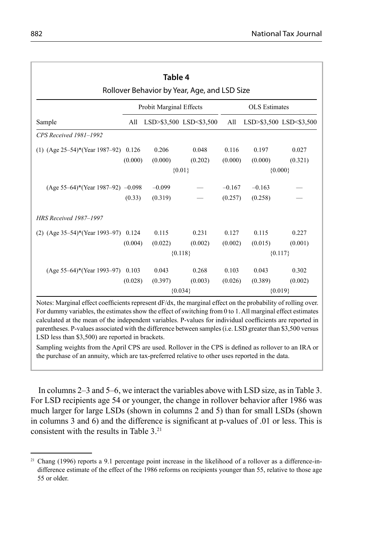|                                        |         | Table 4                 |                                              |                  |                      |                         |
|----------------------------------------|---------|-------------------------|----------------------------------------------|------------------|----------------------|-------------------------|
|                                        |         | Probit Marginal Effects | Rollover Behavior by Year, Age, and LSD Size |                  | <b>OLS</b> Estimates |                         |
| Sample                                 | All     |                         | LSD>\$3,500 LSD<\$3,500                      | All              |                      | LSD>\$3,500 LSD<\$3,500 |
| CPS Received 1981-1992                 |         |                         |                                              |                  |                      |                         |
| (1) $(Age 25-54)*(Year 1987-92)$ 0.126 | (0.000) | 0.206<br>(0.000)        | 0.048<br>(0.202)                             | 0.116<br>(0.000) | 0.197<br>(0.000)     | 0.027<br>(0.321)        |
|                                        |         |                         | ${0.01}$                                     |                  |                      | ${0.000}$               |
| $(Age 55-64)*(Year 1987-92) -0.098$    |         | $-0.099$                |                                              | $-0.167$         | $-0.163$             |                         |
|                                        | (0.33)  | (0.319)                 |                                              | (0.257)          | (0.258)              |                         |
| <b>HRS Received 1987–1997</b>          |         |                         |                                              |                  |                      |                         |
| (2) $(Age 35-54)*(Year 1993-97)$ 0.124 |         | 0.115                   | 0.231                                        | 0.127            | 0.115                | 0.227                   |
|                                        | (0.004) | (0.022)                 | (0.002)                                      | (0.002)          | (0.015)              | (0.001)                 |
|                                        |         |                         | ${0.118}$                                    |                  |                      | ${0.117}$               |
| $(Age 55-64)*(Year 1993-97)$           | 0.103   | 0.043                   | 0.268                                        | 0.103            | 0.043                | 0.302                   |
|                                        | (0.028) | (0.397)                 | (0.003)                                      | (0.026)          | (0.389)              | (0.002)                 |
|                                        |         |                         | ${0.034}$                                    |                  |                      | ${0.019}$               |

Notes: Marginal effect coefficients represent  $dF/dx$ , the marginal effect on the probability of rolling over. For dummy variables, the estimates show the effect of switching from 0 to 1. All marginal effect estimates calculated at the mean of the independent variables. P-values for individual coefficients are reported in parentheses. P-values associated with the difference between samples (i.e. LSD greater than \$3,500 versus LSD less than \$3,500) are reported in brackets.

Sampling weights from the April CPS are used. Rollover in the CPS is defined as rollover to an IRA or the purchase of an annuity, which are tax-preferred relative to other uses reported in the data.

In columns 2–3 and 5–6, we interact the variables above with LSD size, as in Table 3. For LSD recipients age 54 or younger, the change in rollover behavior after 1986 was much larger for large LSDs (shown in columns 2 and 5) than for small LSDs (shown in columns 3 and 6) and the difference is significant at p-values of  $.01$  or less. This is consistent with the results in Table 3.21

<sup>&</sup>lt;sup>21</sup> Chang (1996) reports a 9.1 percentage point increase in the likelihood of a rollover as a difference-indifference estimate of the effect of the 1986 reforms on recipients younger than 55, relative to those age 55 or older.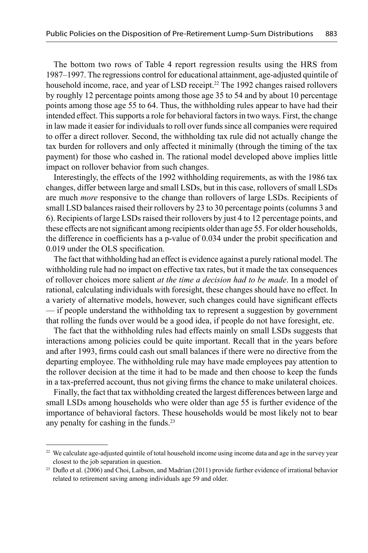The bottom two rows of Table 4 report regression results using the HRS from 1987–1997. The regressions control for educational attainment, age-adjusted quintile of household income, race, and year of LSD receipt.<sup>22</sup> The 1992 changes raised rollovers by roughly 12 percentage points among those age 35 to 54 and by about 10 percentage points among those age 55 to 64. Thus, the withholding rules appear to have had their intended effect. This supports a role for behavioral factors in two ways. First, the change in law made it easier for individuals to roll over funds since all companies were required to offer a direct rollover. Second, the withholding tax rule did not actually change the tax burden for rollovers and only affected it minimally (through the timing of the tax payment) for those who cashed in. The rational model developed above implies little impact on rollover behavior from such changes.

Interestingly, the effects of the 1992 withholding requirements, as with the 1986 tax changes, differ between large and small LSDs, but in this case, rollovers of small LSDs are much *more* responsive to the change than rollovers of large LSDs. Recipients of small LSD balances raised their rollovers by 23 to 30 percentage points (columns 3 and 6). Recipients of large LSDs raised their rollovers by just 4 to 12 percentage points, and these effects are not significant among recipients older than age 55. For older households, the difference in coefficients has a p-value of  $0.034$  under the probit specification and 0.019 under the OLS specification.

The fact that withholding had an effect is evidence against a purely rational model. The withholding rule had no impact on effective tax rates, but it made the tax consequences of rollover choices more salient *at the time a decision had to be made*. In a model of rational, calculating individuals with foresight, these changes should have no effect. In a variety of alternative models, however, such changes could have significant effects — if people understand the withholding tax to represent a suggestion by government that rolling the funds over would be a good idea, if people do not have foresight, etc.

The fact that the withholding rules had effects mainly on small LSDs suggests that interactions among policies could be quite important. Recall that in the years before and after 1993, firms could cash out small balances if there were no directive from the departing employee. The withholding rule may have made employees pay attention to the rollover decision at the time it had to be made and then choose to keep the funds in a tax-preferred account, thus not giving firms the chance to make unilateral choices.

Finally, the fact that tax withholding created the largest differences between large and small LSDs among households who were older than age 55 is further evidence of the importance of behavioral factors. These households would be most likely not to bear any penalty for cashing in the funds.23

<sup>&</sup>lt;sup>22</sup> We calculate age-adjusted quintile of total household income using income data and age in the survey year closest to the job separation in question.

 $23$  Duflo et al. (2006) and Choi, Laibson, and Madrian (2011) provide further evidence of irrational behavior related to retirement saving among individuals age 59 and older.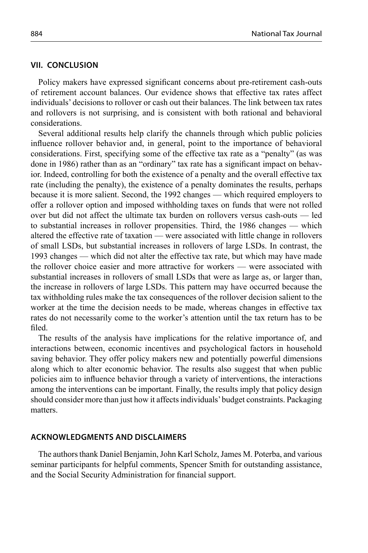#### **VII. CONCLUSION**

Policy makers have expressed significant concerns about pre-retirement cash-outs of retirement account balances. Our evidence shows that effective tax rates affect individuals' decisions to rollover or cash out their balances. The link between tax rates and rollovers is not surprising, and is consistent with both rational and behavioral considerations.

Several additional results help clarify the channels through which public policies influence rollover behavior and, in general, point to the importance of behavioral considerations. First, specifying some of the effective tax rate as a "penalty" (as was done in 1986) rather than as an "ordinary" tax rate has a significant impact on behavior. Indeed, controlling for both the existence of a penalty and the overall effective tax rate (including the penalty), the existence of a penalty dominates the results, perhaps because it is more salient. Second, the 1992 changes — which required employers to offer a rollover option and imposed withholding taxes on funds that were not rolled over but did not affect the ultimate tax burden on rollovers versus cash-outs — led to substantial increases in rollover propensities. Third, the 1986 changes — which altered the effective rate of taxation — were associated with little change in rollovers of small LSDs, but substantial increases in rollovers of large LSDs. In contrast, the 1993 changes — which did not alter the effective tax rate, but which may have made the rollover choice easier and more attractive for workers — were associated with substantial increases in rollovers of small LSDs that were as large as, or larger than, the increase in rollovers of large LSDs. This pattern may have occurred because the tax withholding rules make the tax consequences of the rollover decision salient to the worker at the time the decision needs to be made, whereas changes in effective tax rates do not necessarily come to the worker's attention until the tax return has to be fi led.

The results of the analysis have implications for the relative importance of, and interactions between, economic incentives and psychological factors in household saving behavior. They offer policy makers new and potentially powerful dimensions along which to alter economic behavior. The results also suggest that when public policies aim to influence behavior through a variety of interventions, the interactions among the interventions can be important. Finally, the results imply that policy design should consider more than just how it affects individuals' budget constraints. Packaging matters.

#### **ACKNOWLEDGMENTS AND DISCLAIMERS**

The authors thank Daniel Benjamin, John Karl Scholz, James M. Poterba, and various seminar participants for helpful comments, Spencer Smith for outstanding assistance, and the Social Security Administration for financial support.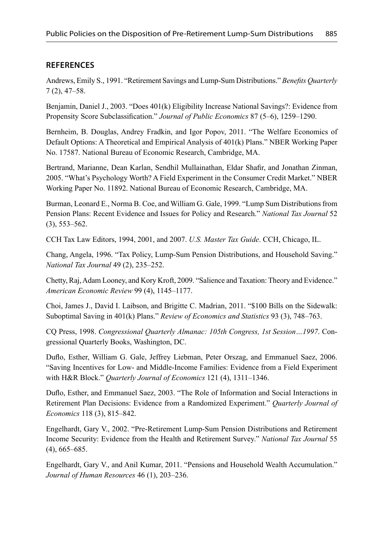## **REFERENCES**

Andrews, Emily S., 1991. "Retirement Savings and Lump-Sum Distributions." *Benefits Quarterly* 7 (2), 47–58.

Benjamin, Daniel J., 2003. "Does 401(k) Eligibility Increase National Savings?: Evidence from Propensity Score Subclassification." *Journal of Public Economics* 87 (5–6), 1259–1290.

Bernheim, B. Douglas, Andrey Fradkin, and Igor Popov, 2011. "The Welfare Economics of Default Options: A Theoretical and Empirical Analysis of 401(k) Plans." NBER Working Paper No. 17587. National Bureau of Economic Research, Cambridge, MA.

Bertrand, Marianne, Dean Karlan, Sendhil Mullainathan, Eldar Shafir, and Jonathan Zinman, 2005. "What's Psychology Worth? A Field Experiment in the Consumer Credit Market." NBER Working Paper No. 11892. National Bureau of Economic Research, Cambridge, MA.

Burman, Leonard E., Norma B. Coe, and William G. Gale, 1999. "Lump Sum Distributions from Pension Plans: Recent Evidence and Issues for Policy and Research." *National Tax Journal* 52 (3), 553–562.

CCH Tax Law Editors, 1994, 2001, and 2007. *U.S. Master Tax Guide*. CCH, Chicago, IL.

Chang, Angela, 1996. "Tax Policy, Lump-Sum Pension Distributions, and Household Saving." *National Tax Journal* 49 (2), 235–252.

Chetty, Raj, Adam Looney, and Kory Kroft, 2009. "Salience and Taxation: Theory and Evidence." *American Economic Review* 99 (4), 1145–1177.

Choi, James J., David I. Laibson, and Brigitte C. Madrian, 2011. "\$100 Bills on the Sidewalk: Suboptimal Saving in 401(k) Plans." *Review of Economics and Statistics* 93 (3), 748–763.

CQ Press, 1998. *Congressional Quarterly Almanac: 105th Congress, 1st Session…1997*. Congressional Quarterly Books, Washington, DC.

Duflo, Esther, William G. Gale, Jeffrey Liebman, Peter Orszag, and Emmanuel Saez, 2006. "Saving Incentives for Low- and Middle-Income Families: Evidence from a Field Experiment with H&R Block." *Quarterly Journal of Economics* 121 (4), 1311–1346.

Duflo, Esther, and Emmanuel Saez, 2003. "The Role of Information and Social Interactions in Retirement Plan Decisions: Evidence from a Randomized Experiment." *Quarterly Journal of Economics* 118 (3), 815–842.

Engelhardt, Gary V., 2002. "Pre-Retirement Lump-Sum Pension Distributions and Retirement Income Security: Evidence from the Health and Retirement Survey." *National Tax Journal* 55 (4), 665–685.

Engelhardt, Gary V., and Anil Kumar, 2011. "Pensions and Household Wealth Accumulation." *Journal of Human Resources* 46 (1), 203–236.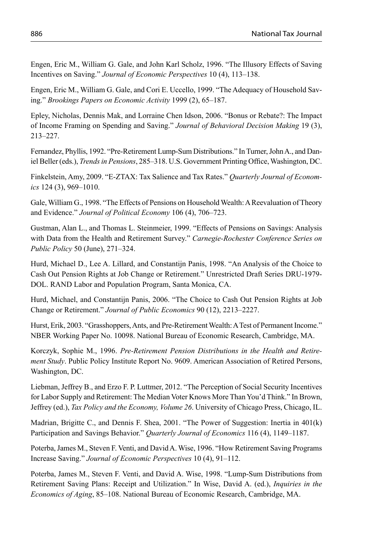Engen, Eric M., William G. Gale, and John Karl Scholz, 1996. "The Illusory Effects of Saving Incentives on Saving." *Journal of Economic Perspectives* 10 (4), 113–138.

Engen, Eric M., William G. Gale, and Cori E. Uccello, 1999. "The Adequacy of Household Saving." *Brookings Papers on Economic Activity* 1999 (2), 65–187.

Epley, Nicholas, Dennis Mak, and Lorraine Chen Idson, 2006. "Bonus or Rebate?: The Impact of Income Framing on Spending and Saving." *Journal of Behavioral Decision Making* 19 (3), 213–227.

Fernandez, Phyllis, 1992. "Pre-Retirement Lump-Sum Distributions." In Turner, John A., and Daniel Beller (eds.), *Trends in Pensions*, 285–318. U.S. Government Printing Office, Washington, DC.

Finkelstein, Amy, 2009. "E-ZTAX: Tax Salience and Tax Rates." *Quarterly Journal of Economics* 124 (3), 969–1010.

Gale, William G., 1998. "The Effects of Pensions on Household Wealth: A Reevaluation of Theory and Evidence." *Journal of Political Economy* 106 (4), 706–723.

Gustman, Alan L., and Thomas L. Steinmeier, 1999. "Effects of Pensions on Savings: Analysis with Data from the Health and Retirement Survey." *Carnegie-Rochester Conference Series on Public Policy* 50 (June), 271–324.

Hurd, Michael D., Lee A. Lillard, and Constantijn Panis, 1998. "An Analysis of the Choice to Cash Out Pension Rights at Job Change or Retirement." Unrestricted Draft Series DRU-1979- DOL. RAND Labor and Population Program, Santa Monica, CA.

Hurd, Michael, and Constantijn Panis, 2006. " The Choice to Cash Out Pension Rights at Job Change or Retirement." *Journal of Public Economics* 90 (12), 2213–2227.

Hurst, Erik, 2003. "Grasshoppers, Ants, and Pre-Retirement Wealth: A Test of Permanent Income." NBER Working Paper No. 10098. National Bureau of Economic Research, Cambridge, MA.

Korczyk, Sophie M., 1996. *Pre-Retirement Pension Distributions in the Health and Retirement Study*. Public Policy Institute Report No. 9609. American Association of Retired Persons, Washington, DC.

Liebman, Jeffrey B., and Erzo F. P. Luttmer, 2012. "The Perception of Social Security Incentives for Labor Supply and Retirement: The Median Voter Knows More Than You'd Think." In Brown, Jeffrey (ed.), *Tax Policy and the Economy, Volume 26*. University of Chicago Press, Chicago, IL.

Madrian, Brigitte C., and Dennis F. Shea, 2001. "The Power of Suggestion: Inertia in 401(k) Participation and Savings Behavior." *Quarterly Journal of Economics* 116 (4), 1149–1187.

Poterba, James M., Steven F. Venti, and David A. Wise, 1996. "How Retirement Saving Programs Increase Saving." *Journal of Economic Perspectives* 10 (4), 91–112.

Poterba, James M., Steven F. Venti, and David A. Wise, 1998. "Lump-Sum Distributions from Retirement Saving Plans: Receipt and Utilization." In Wise, David A. (ed.), *Inquiries in the Economics of Aging*, 85–108. National Bureau of Economic Research, Cambridge, MA.